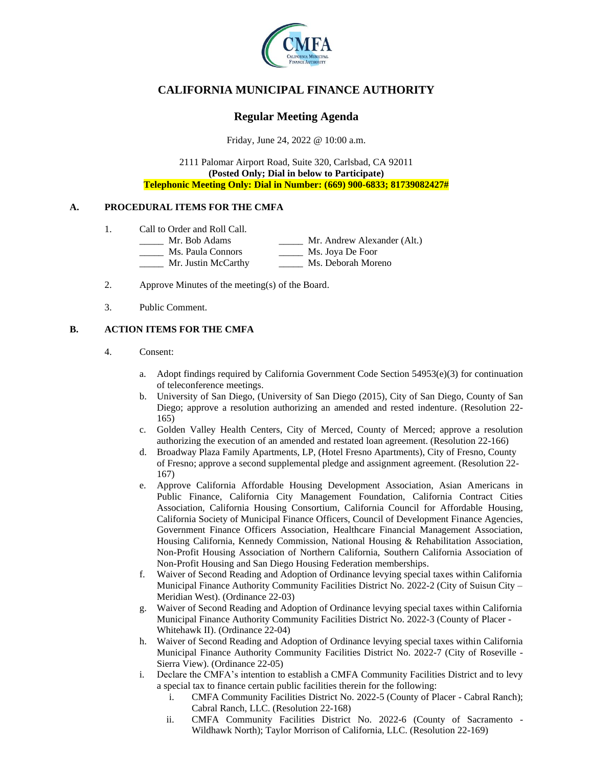

# **CALIFORNIA MUNICIPAL FINANCE AUTHORITY**

## **Regular Meeting Agenda**

Friday, June 24, 2022 @ 10:00 a.m.

2111 Palomar Airport Road, Suite 320, Carlsbad, CA 92011 **(Posted Only; Dial in below to Participate) Telephonic Meeting Only: Dial in Number: (669) 900-6833; 81739082427#**

### **A. PROCEDURAL ITEMS FOR THE CMFA**

- 1. Call to Order and Roll Call.
	- \_\_\_\_\_ Mr. Bob Adams \_\_\_\_\_ Mr. Andrew Alexander (Alt.)
		- \_\_\_\_\_ Ms. Paula Connors \_\_\_\_\_ Ms. Joya De Foor
		- Mr. Justin McCarthy Ms. Deborah Moreno
- 2. Approve Minutes of the meeting(s) of the Board.
- 3. Public Comment.

### **B. ACTION ITEMS FOR THE CMFA**

- 4. Consent:
	- a. Adopt findings required by California Government Code Section  $54953(e)(3)$  for continuation of teleconference meetings.
	- b. University of San Diego, (University of San Diego (2015), City of San Diego, County of San Diego; approve a resolution authorizing an amended and rested indenture. (Resolution 22- 165)
	- c. Golden Valley Health Centers, City of Merced, County of Merced; approve a resolution authorizing the execution of an amended and restated loan agreement. (Resolution 22-166)
	- d. Broadway Plaza Family Apartments, LP, (Hotel Fresno Apartments), City of Fresno, County of Fresno; approve a second supplemental pledge and assignment agreement. (Resolution 22- 167)
	- e. Approve California Affordable Housing Development Association, Asian Americans in Public Finance, California City Management Foundation, California Contract Cities Association, California Housing Consortium, California Council for Affordable Housing, California Society of Municipal Finance Officers, Council of Development Finance Agencies, Government Finance Officers Association, Healthcare Financial Management Association, Housing California, Kennedy Commission, National Housing & Rehabilitation Association, Non-Profit Housing Association of Northern California, Southern California Association of Non-Profit Housing and San Diego Housing Federation memberships.
	- f. Waiver of Second Reading and Adoption of Ordinance levying special taxes within California Municipal Finance Authority Community Facilities District No. 2022-2 (City of Suisun City – Meridian West). (Ordinance 22-03)
	- g. Waiver of Second Reading and Adoption of Ordinance levying special taxes within California Municipal Finance Authority Community Facilities District No. 2022-3 (County of Placer - Whitehawk II). (Ordinance 22-04)
	- h. Waiver of Second Reading and Adoption of Ordinance levying special taxes within California Municipal Finance Authority Community Facilities District No. 2022-7 (City of Roseville - Sierra View). (Ordinance 22-05)
	- i. Declare the CMFA's intention to establish a CMFA Community Facilities District and to levy a special tax to finance certain public facilities therein for the following:
		- i. CMFA Community Facilities District No. 2022-5 (County of Placer Cabral Ranch); Cabral Ranch, LLC. (Resolution 22-168)
		- ii. CMFA Community Facilities District No. 2022-6 (County of Sacramento Wildhawk North); Taylor Morrison of California, LLC. (Resolution 22-169)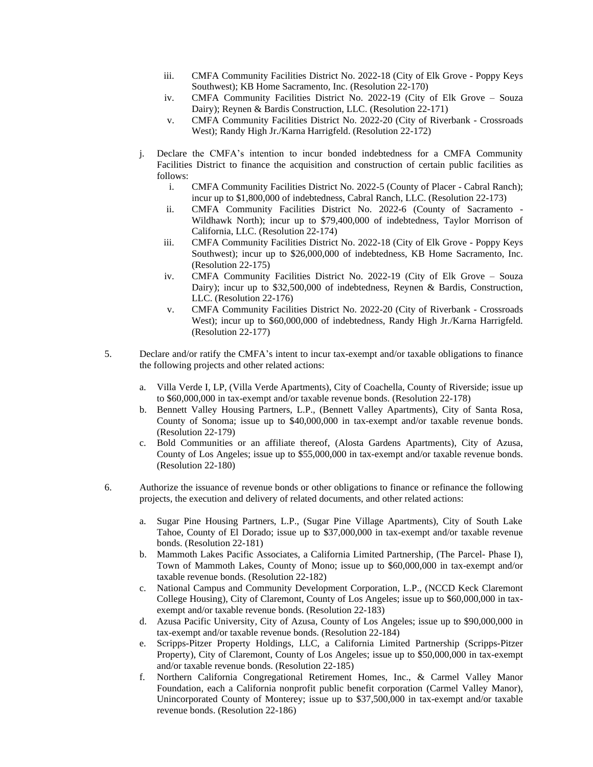- iii. CMFA Community Facilities District No. 2022-18 (City of Elk Grove Poppy Keys Southwest); KB Home Sacramento, Inc. (Resolution 22-170)
- iv. CMFA Community Facilities District No. 2022-19 (City of Elk Grove Souza Dairy); Reynen & Bardis Construction, LLC. (Resolution 22-171)
- v. CMFA Community Facilities District No. 2022-20 (City of Riverbank Crossroads West); Randy High Jr./Karna Harrigfeld. (Resolution 22-172)
- j. Declare the CMFA's intention to incur bonded indebtedness for a CMFA Community Facilities District to finance the acquisition and construction of certain public facilities as follows:
	- i. CMFA Community Facilities District No. 2022-5 (County of Placer Cabral Ranch); incur up to \$1,800,000 of indebtedness, Cabral Ranch, LLC. (Resolution 22-173)
	- ii. CMFA Community Facilities District No. 2022-6 (County of Sacramento Wildhawk North); incur up to \$79,400,000 of indebtedness, Taylor Morrison of California, LLC. (Resolution 22-174)
	- iii. CMFA Community Facilities District No. 2022-18 (City of Elk Grove Poppy Keys Southwest); incur up to \$26,000,000 of indebtedness, KB Home Sacramento, Inc. (Resolution 22-175)
	- iv. CMFA Community Facilities District No. 2022-19 (City of Elk Grove Souza Dairy); incur up to \$32,500,000 of indebtedness, Reynen & Bardis, Construction, LLC. (Resolution 22-176)
	- v. CMFA Community Facilities District No. 2022-20 (City of Riverbank Crossroads West); incur up to \$60,000,000 of indebtedness, Randy High Jr./Karna Harrigfeld. (Resolution 22-177)
- 5. Declare and/or ratify the CMFA's intent to incur tax-exempt and/or taxable obligations to finance the following projects and other related actions:
	- a. Villa Verde I, LP, (Villa Verde Apartments), City of Coachella, County of Riverside; issue up to \$60,000,000 in tax-exempt and/or taxable revenue bonds. (Resolution 22-178)
	- b. Bennett Valley Housing Partners, L.P., (Bennett Valley Apartments), City of Santa Rosa, County of Sonoma; issue up to \$40,000,000 in tax-exempt and/or taxable revenue bonds. (Resolution 22-179)
	- c. Bold Communities or an affiliate thereof, (Alosta Gardens Apartments), City of Azusa, County of Los Angeles; issue up to \$55,000,000 in tax-exempt and/or taxable revenue bonds. (Resolution 22-180)
- 6. Authorize the issuance of revenue bonds or other obligations to finance or refinance the following projects, the execution and delivery of related documents, and other related actions:
	- a. Sugar Pine Housing Partners, L.P., (Sugar Pine Village Apartments), City of South Lake Tahoe, County of El Dorado; issue up to \$37,000,000 in tax-exempt and/or taxable revenue bonds. (Resolution 22-181)
	- b. Mammoth Lakes Pacific Associates, a California Limited Partnership, (The Parcel- Phase I), Town of Mammoth Lakes, County of Mono; issue up to \$60,000,000 in tax-exempt and/or taxable revenue bonds. (Resolution 22-182)
	- c. National Campus and Community Development Corporation, L.P., (NCCD Keck Claremont College Housing), City of Claremont, County of Los Angeles; issue up to \$60,000,000 in taxexempt and/or taxable revenue bonds. (Resolution 22-183)
	- d. Azusa Pacific University, City of Azusa, County of Los Angeles; issue up to \$90,000,000 in tax-exempt and/or taxable revenue bonds. (Resolution 22-184)
	- e. Scripps-Pitzer Property Holdings, LLC, a California Limited Partnership (Scripps-Pitzer Property), City of Claremont, County of Los Angeles; issue up to \$50,000,000 in tax-exempt and/or taxable revenue bonds. (Resolution 22-185)
	- f. Northern California Congregational Retirement Homes, Inc., & Carmel Valley Manor Foundation, each a California nonprofit public benefit corporation (Carmel Valley Manor), Unincorporated County of Monterey; issue up to \$37,500,000 in tax-exempt and/or taxable revenue bonds. (Resolution 22-186)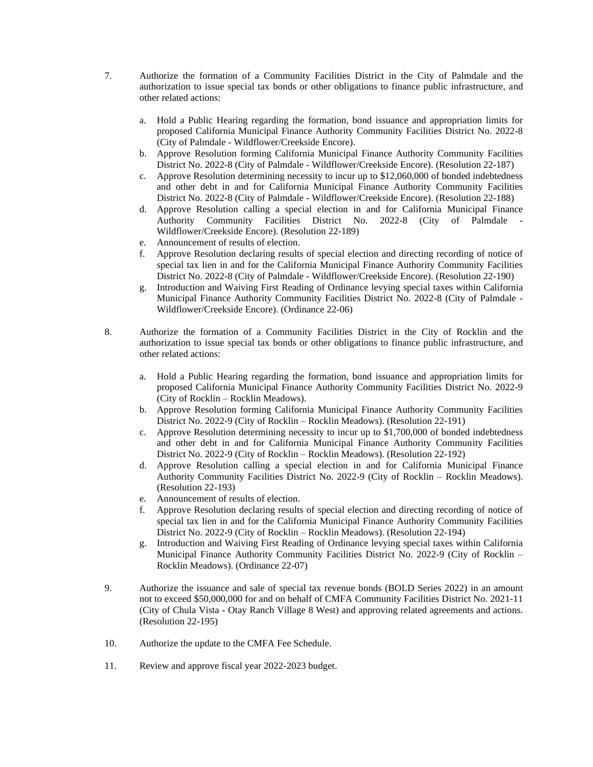- 7. Authorize the formation of a Community Facilities District in the City of Palmdale and the authorization to issue special tax bonds or other obligations to finance public infrastructure, and other related actions:
	- a. Hold a Public Hearing regarding the formation, bond issuance and appropriation limits for proposed California Municipal Finance Authority Community Facilities District No. 2022-8 (City of Palmdale - Wildflower/Creekside Encore).
	- b. Approve Resolution forming California Municipal Finance Authority Community Facilities District No. 2022-8 (City of Palmdale - Wildflower/Creekside Encore). (Resolution 22-187)
	- c. Approve Resolution determining necessity to incur up to \$12,060,000 of bonded indebtedness and other debt in and for California Municipal Finance Authority Community Facilities District No. 2022-8 (City of Palmdale - Wildflower/Creekside Encore). (Resolution 22-188)
	- d. Approve Resolution calling a special election in and for California Municipal Finance Authority Community Facilities District No. 2022-8 (City of Palmdale - Wildflower/Creekside Encore). (Resolution 22-189)
	- e. Announcement of results of election.
	- f. Approve Resolution declaring results of special election and directing recording of notice of special tax lien in and for the California Municipal Finance Authority Community Facilities District No. 2022-8 (City of Palmdale - Wildflower/Creekside Encore). (Resolution 22-190)
	- g. Introduction and Waiving First Reading of Ordinance levying special taxes within California Municipal Finance Authority Community Facilities District No. 2022-8 (City of Palmdale - Wildflower/Creekside Encore). (Ordinance 22-06)
- 8. Authorize the formation of a Community Facilities District in the City of Rocklin and the authorization to issue special tax bonds or other obligations to finance public infrastructure, and other related actions:
	- a. Hold a Public Hearing regarding the formation, bond issuance and appropriation limits for proposed California Municipal Finance Authority Community Facilities District No. 2022-9 (City of Rocklin – Rocklin Meadows).
	- b. Approve Resolution forming California Municipal Finance Authority Community Facilities District No. 2022-9 (City of Rocklin – Rocklin Meadows). (Resolution 22-191)
	- c. Approve Resolution determining necessity to incur up to \$1,700,000 of bonded indebtedness and other debt in and for California Municipal Finance Authority Community Facilities District No. 2022-9 (City of Rocklin – Rocklin Meadows). (Resolution 22-192)
	- d. Approve Resolution calling a special election in and for California Municipal Finance Authority Community Facilities District No. 2022-9 (City of Rocklin – Rocklin Meadows). (Resolution 22-193)
	- e. Announcement of results of election.
	- f. Approve Resolution declaring results of special election and directing recording of notice of special tax lien in and for the California Municipal Finance Authority Community Facilities District No. 2022-9 (City of Rocklin – Rocklin Meadows). (Resolution 22-194)
	- g. Introduction and Waiving First Reading of Ordinance levying special taxes within California Municipal Finance Authority Community Facilities District No. 2022-9 (City of Rocklin – Rocklin Meadows). (Ordinance 22-07)
- 9. Authorize the issuance and sale of special tax revenue bonds (BOLD Series 2022) in an amount not to exceed \$50,000,000 for and on behalf of CMFA Community Facilities District No. 2021-11 (City of Chula Vista - Otay Ranch Village 8 West) and approving related agreements and actions. (Resolution 22-195)
- 10. Authorize the update to the CMFA Fee Schedule.
- 11. Review and approve fiscal year 2022-2023 budget.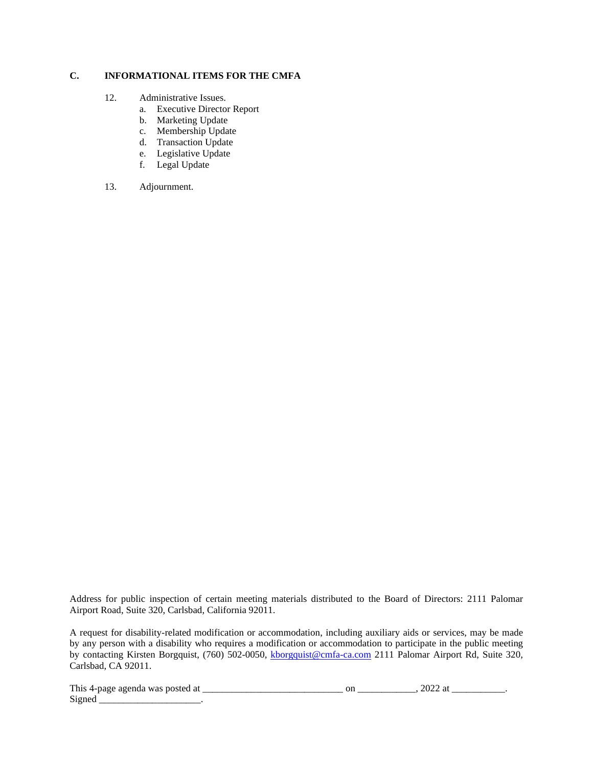### **C. INFORMATIONAL ITEMS FOR THE CMFA**

- 12. Administrative Issues.
	- a. Executive Director Report
	- b. Marketing Update
	- c. Membership Update
	- d. Transaction Update
	- e. Legislative Update
	- f. Legal Update
- 13. Adjournment.

Address for public inspection of certain meeting materials distributed to the Board of Directors: 2111 Palomar Airport Road, Suite 320, Carlsbad, California 92011.

A request for disability-related modification or accommodation, including auxiliary aids or services, may be made by any person with a disability who requires a modification or accommodation to participate in the public meeting by contacting Kirsten Borgquist, (760) 502-0050, [kborgquist@cmfa-ca.com](mailto:kborgquist@cmfa-ca.com) 2111 Palomar Airport Rd, Suite 320, Carlsbad, CA 92011.

This 4-page agenda was posted at \_\_\_\_\_\_\_\_\_\_\_\_\_\_\_\_\_\_\_\_\_\_\_\_\_\_\_\_\_ on \_\_\_\_\_\_\_\_\_\_\_\_, 2022 at \_\_\_\_\_\_\_\_\_\_\_.

 $Signal$  \_\_\_\_\_\_\_\_\_\_\_\_\_\_\_\_\_\_\_\_\_.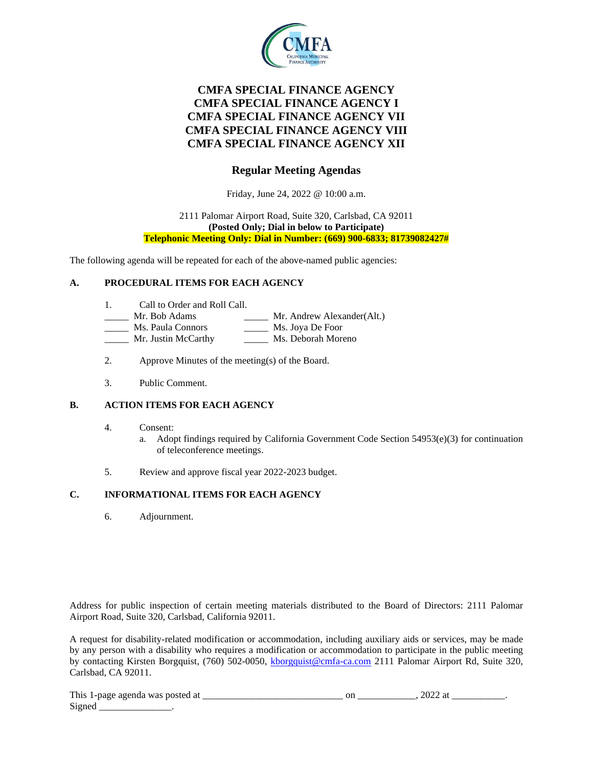

# **CMFA SPECIAL FINANCE AGENCY CMFA SPECIAL FINANCE AGENCY I CMFA SPECIAL FINANCE AGENCY VII CMFA SPECIAL FINANCE AGENCY VIII CMFA SPECIAL FINANCE AGENCY XII**

## **Regular Meeting Agendas**

Friday, June 24, 2022 @ 10:00 a.m.

#### 2111 Palomar Airport Road, Suite 320, Carlsbad, CA 92011 **(Posted Only; Dial in below to Participate) Telephonic Meeting Only: Dial in Number: (669) 900-6833; 81739082427#**

The following agenda will be repeated for each of the above-named public agencies:

### **A. PROCEDURAL ITEMS FOR EACH AGENCY**

- 1. Call to Order and Roll Call.
- Mr. Bob Adams \_\_\_\_\_\_\_ Mr. Andrew Alexander(Alt.)
- Ms. Paula Connors \_\_\_\_\_\_\_ Ms. Joya De Foor
- Mr. Justin McCarthy Ms. Deborah Moreno
- 2. Approve Minutes of the meeting(s) of the Board.
- 3. Public Comment.

### **B. ACTION ITEMS FOR EACH AGENCY**

- 4. Consent:
	- a. Adopt findings required by California Government Code Section  $54953(e)(3)$  for continuation of teleconference meetings.
- 5. Review and approve fiscal year 2022-2023 budget.

### **C. INFORMATIONAL ITEMS FOR EACH AGENCY**

6. Adjournment.

Address for public inspection of certain meeting materials distributed to the Board of Directors: 2111 Palomar Airport Road, Suite 320, Carlsbad, California 92011.

A request for disability-related modification or accommodation, including auxiliary aids or services, may be made by any person with a disability who requires a modification or accommodation to participate in the public meeting by contacting Kirsten Borgquist, (760) 502-0050, [kborgquist@cmfa-ca.com](mailto:kborgquist@cmfa-ca.com) 2111 Palomar Airport Rd, Suite 320, Carlsbad, CA 92011.

| This<br>-ai<br>aoenda<br>:tec<br>was<br>$\sim$ 1-Dage $\sim$<br>. | vı.<br>_____ | ---- |  |
|-------------------------------------------------------------------|--------------|------|--|
| $\sim$<br>Signer                                                  |              |      |  |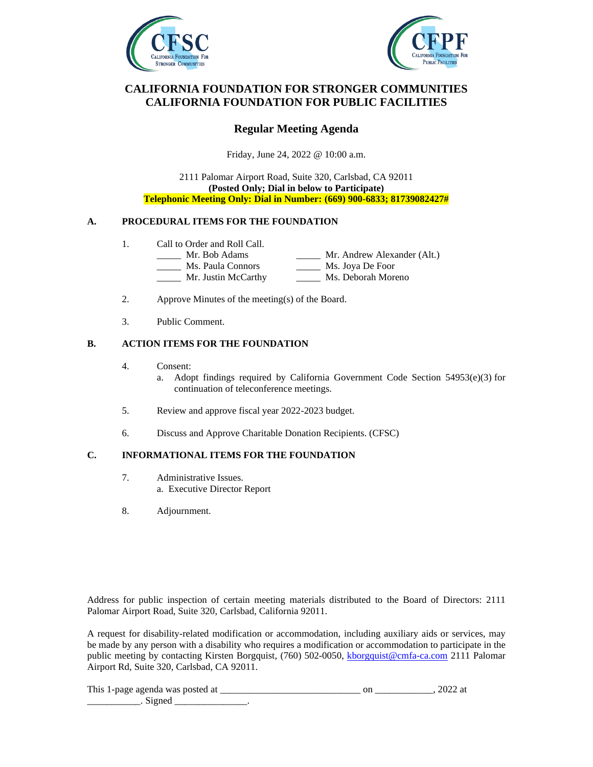



## **CALIFORNIA FOUNDATION FOR STRONGER COMMUNITIES CALIFORNIA FOUNDATION FOR PUBLIC FACILITIES**

## **Regular Meeting Agenda**

Friday, June 24, 2022 @ 10:00 a.m.

2111 Palomar Airport Road, Suite 320, Carlsbad, CA 92011 **(Posted Only; Dial in below to Participate) Telephonic Meeting Only: Dial in Number: (669) 900-6833; 81739082427#**

### **A. PROCEDURAL ITEMS FOR THE FOUNDATION**

- 1. Call to Order and Roll Call.
	- Mr. Bob Adams Mr. Andrew Alexander (Alt.)<br>Ms. Paula Connors Ms. Joya De Foor
		-
	- Ms. Paula Connors<br>Mr. Justin McCarthy \_\_\_\_\_ Ms. Deborah Moreno
- 2. Approve Minutes of the meeting(s) of the Board.
- 3. Public Comment.

### **B. ACTION ITEMS FOR THE FOUNDATION**

4. Consent:

a. Adopt findings required by California Government Code Section 54953(e)(3) for continuation of teleconference meetings.

- 5. Review and approve fiscal year 2022-2023 budget.
- 6. Discuss and Approve Charitable Donation Recipients. (CFSC)

### **C. INFORMATIONAL ITEMS FOR THE FOUNDATION**

- 7. Administrative Issues. a. Executive Director Report
- 8. Adjournment.

Address for public inspection of certain meeting materials distributed to the Board of Directors: 2111 Palomar Airport Road, Suite 320, Carlsbad, California 92011.

A request for disability-related modification or accommodation, including auxiliary aids or services, may be made by any person with a disability who requires a modification or accommodation to participate in the public meeting by contacting Kirsten Borgquist, (760) 502-0050, [kborgquist@cmfa-ca.com](mailto:kborgquist@cmfa-ca.com) 2111 Palomar Airport Rd, Suite 320, Carlsbad, CA 92011.

| This<br>-നാറ്റ<br>sagends<br>״<br>- WAS<br>$\sim$ |  |  |
|---------------------------------------------------|--|--|
|                                                   |  |  |